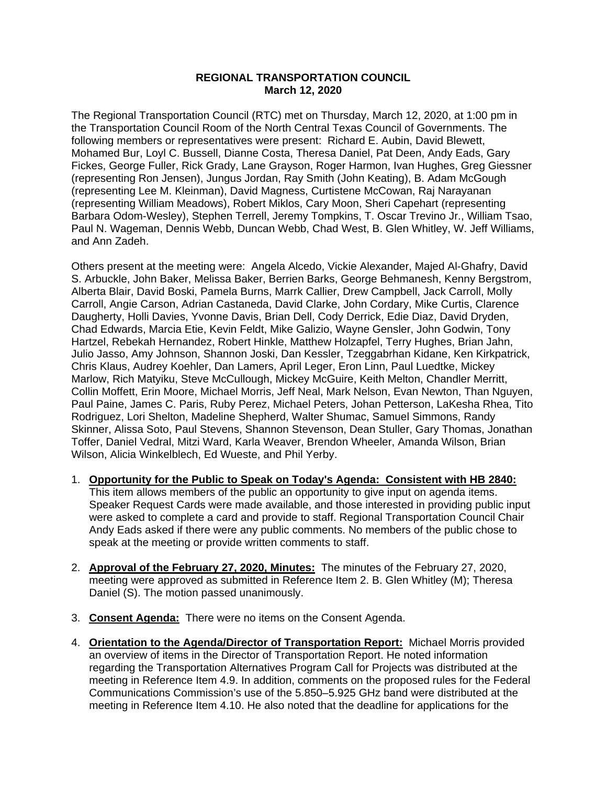## **REGIONAL TRANSPORTATION COUNCIL March 12, 2020**

The Regional Transportation Council (RTC) met on Thursday, March 12, 2020, at 1:00 pm in the Transportation Council Room of the North Central Texas Council of Governments. The following members or representatives were present: Richard E. Aubin, David Blewett, Mohamed Bur, Loyl C. Bussell, Dianne Costa, Theresa Daniel, Pat Deen, Andy Eads, Gary Fickes, George Fuller, Rick Grady, Lane Grayson, Roger Harmon, Ivan Hughes, Greg Giessner (representing Ron Jensen), Jungus Jordan, Ray Smith (John Keating), B. Adam McGough (representing Lee M. Kleinman), David Magness, Curtistene McCowan, Raj Narayanan (representing William Meadows), Robert Miklos, Cary Moon, Sheri Capehart (representing Barbara Odom-Wesley), Stephen Terrell, Jeremy Tompkins, T. Oscar Trevino Jr., William Tsao, Paul N. Wageman, Dennis Webb, Duncan Webb, Chad West, B. Glen Whitley, W. Jeff Williams, and Ann Zadeh.

Others present at the meeting were: Angela Alcedo, Vickie Alexander, Majed Al-Ghafry, David S. Arbuckle, John Baker, Melissa Baker, Berrien Barks, George Behmanesh, Kenny Bergstrom, Alberta Blair, David Boski, Pamela Burns, Marrk Callier, Drew Campbell, Jack Carroll, Molly Carroll, Angie Carson, Adrian Castaneda, David Clarke, John Cordary, Mike Curtis, Clarence Daugherty, Holli Davies, Yvonne Davis, Brian Dell, Cody Derrick, Edie Diaz, David Dryden, Chad Edwards, Marcia Etie, Kevin Feldt, Mike Galizio, Wayne Gensler, John Godwin, Tony Hartzel, Rebekah Hernandez, Robert Hinkle, Matthew Holzapfel, Terry Hughes, Brian Jahn, Julio Jasso, Amy Johnson, Shannon Joski, Dan Kessler, Tzeggabrhan Kidane, Ken Kirkpatrick, Chris Klaus, Audrey Koehler, Dan Lamers, April Leger, Eron Linn, Paul Luedtke, Mickey Marlow, Rich Matyiku, Steve McCullough, Mickey McGuire, Keith Melton, Chandler Merritt, Collin Moffett, Erin Moore, Michael Morris, Jeff Neal, Mark Nelson, Evan Newton, Than Nguyen, Paul Paine, James C. Paris, Ruby Perez, Michael Peters, Johan Petterson, LaKesha Rhea, Tito Rodriguez, Lori Shelton, Madeline Shepherd, Walter Shumac, Samuel Simmons, Randy Skinner, Alissa Soto, Paul Stevens, Shannon Stevenson, Dean Stuller, Gary Thomas, Jonathan Toffer, Daniel Vedral, Mitzi Ward, Karla Weaver, Brendon Wheeler, Amanda Wilson, Brian Wilson, Alicia Winkelblech, Ed Wueste, and Phil Yerby.

- 1. **Opportunity for the Public to Speak on Today's Agenda: Consistent with HB 2840:** This item allows members of the public an opportunity to give input on agenda items. Speaker Request Cards were made available, and those interested in providing public input were asked to complete a card and provide to staff. Regional Transportation Council Chair Andy Eads asked if there were any public comments. No members of the public chose to speak at the meeting or provide written comments to staff.
- 2. **Approval of the February 27, 2020, Minutes:** The minutes of the February 27, 2020, meeting were approved as submitted in Reference Item 2. B. Glen Whitley (M); Theresa Daniel (S). The motion passed unanimously.
- 3. **Consent Agenda:** There were no items on the Consent Agenda.
- 4. **Orientation to the Agenda/Director of Transportation Report:** Michael Morris provided an overview of items in the Director of Transportation Report. He noted information regarding the Transportation Alternatives Program Call for Projects was distributed at the meeting in Reference Item 4.9. In addition, comments on the proposed rules for the Federal Communications Commission's use of the 5.850–5.925 GHz band were distributed at the meeting in Reference Item 4.10. He also noted that the deadline for applications for the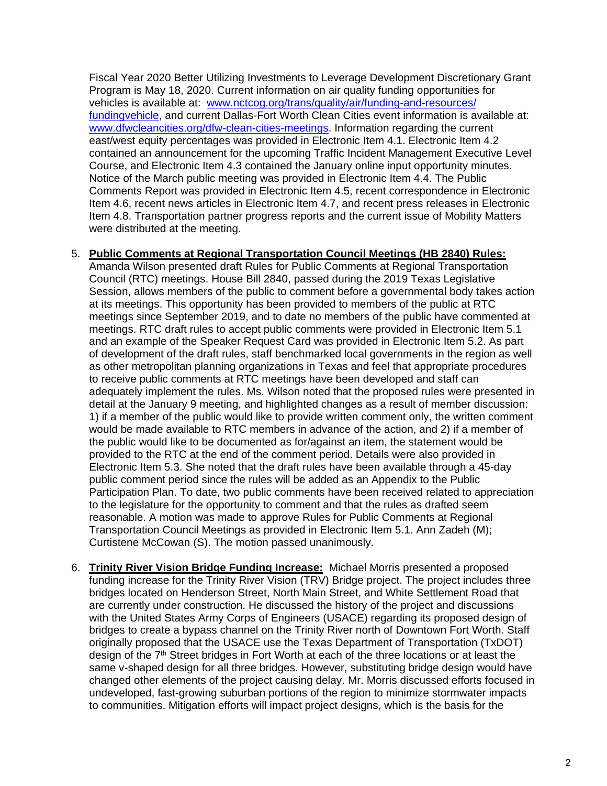Fiscal Year 2020 Better Utilizing Investments to Leverage Development Discretionary Grant Program is May 18, 2020. Current information on air quality funding opportunities for vehicles is available at: [www.nctcog.org/trans/quality/air/funding-and-resources/](http://www.nctcog.org/trans/quality/air/funding-and-resources/fundingvehicle) [fundingvehicle,](http://www.nctcog.org/trans/quality/air/funding-and-resources/fundingvehicle) and current Dallas-Fort Worth Clean Cities event information is available at: [www.dfwcleancities.org/dfw-clean-cities-meetings.](http://www.dfwcleancities.org/dfw-clean-cities-meetings) Information regarding the current east/west equity percentages was provided in Electronic Item 4.1. Electronic Item 4.2 contained an announcement for the upcoming Traffic Incident Management Executive Level Course, and Electronic Item 4.3 contained the January online input opportunity minutes. Notice of the March public meeting was provided in Electronic Item 4.4. The Public Comments Report was provided in Electronic Item 4.5, recent correspondence in Electronic Item 4.6, recent news articles in Electronic Item 4.7, and recent press releases in Electronic Item 4.8. Transportation partner progress reports and the current issue of Mobility Matters were distributed at the meeting.

## 5. **Public Comments at Regional Transportation Council Meetings (HB 2840) Rules:**

Amanda Wilson presented draft Rules for Public Comments at Regional Transportation Council (RTC) meetings. House Bill 2840, passed during the 2019 Texas Legislative Session, allows members of the public to comment before a governmental body takes action at its meetings. This opportunity has been provided to members of the public at RTC meetings since September 2019, and to date no members of the public have commented at meetings. RTC draft rules to accept public comments were provided in Electronic Item 5.1 and an example of the Speaker Request Card was provided in Electronic Item 5.2. As part of development of the draft rules, staff benchmarked local governments in the region as well as other metropolitan planning organizations in Texas and feel that appropriate procedures to receive public comments at RTC meetings have been developed and staff can adequately implement the rules. Ms. Wilson noted that the proposed rules were presented in detail at the January 9 meeting, and highlighted changes as a result of member discussion: 1) if a member of the public would like to provide written comment only, the written comment would be made available to RTC members in advance of the action, and 2) if a member of the public would like to be documented as for/against an item, the statement would be provided to the RTC at the end of the comment period. Details were also provided in Electronic Item 5.3. She noted that the draft rules have been available through a 45-day public comment period since the rules will be added as an Appendix to the Public Participation Plan. To date, two public comments have been received related to appreciation to the legislature for the opportunity to comment and that the rules as drafted seem reasonable. A motion was made to approve Rules for Public Comments at Regional Transportation Council Meetings as provided in Electronic Item 5.1. Ann Zadeh (M); Curtistene McCowan (S). The motion passed unanimously.

6. **Trinity River Vision Bridge Funding Increase:** Michael Morris presented a proposed funding increase for the Trinity River Vision (TRV) Bridge project. The project includes three bridges located on Henderson Street, North Main Street, and White Settlement Road that are currently under construction. He discussed the history of the project and discussions with the United States Army Corps of Engineers (USACE) regarding its proposed design of bridges to create a bypass channel on the Trinity River north of Downtown Fort Worth. Staff originally proposed that the USACE use the Texas Department of Transportation (TxDOT) design of the 7<sup>th</sup> Street bridges in Fort Worth at each of the three locations or at least the same v-shaped design for all three bridges. However, substituting bridge design would have changed other elements of the project causing delay. Mr. Morris discussed efforts focused in undeveloped, fast-growing suburban portions of the region to minimize stormwater impacts to communities. Mitigation efforts will impact project designs, which is the basis for the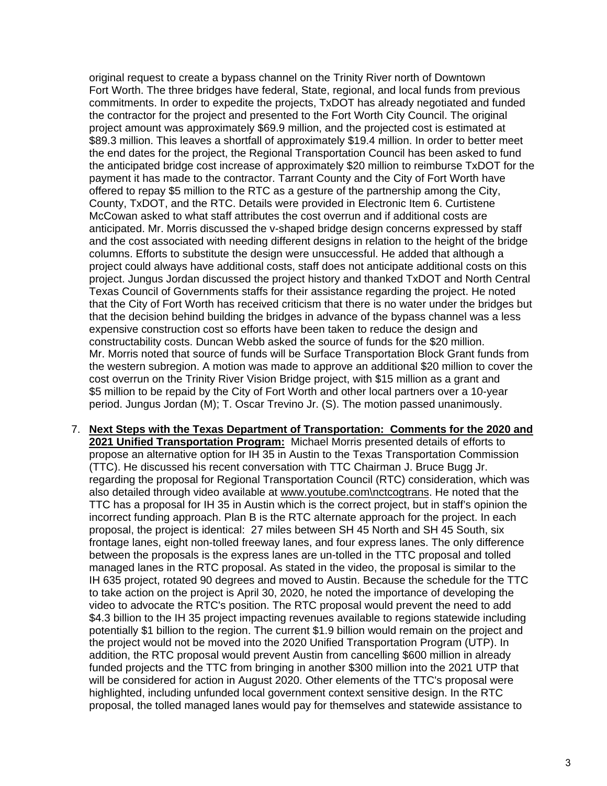original request to create a bypass channel on the Trinity River north of Downtown Fort Worth. The three bridges have federal, State, regional, and local funds from previous commitments. In order to expedite the projects, TxDOT has already negotiated and funded the contractor for the project and presented to the Fort Worth City Council. The original project amount was approximately \$69.9 million, and the projected cost is estimated at \$89.3 million. This leaves a shortfall of approximately \$19.4 million. In order to better meet the end dates for the project, the Regional Transportation Council has been asked to fund the anticipated bridge cost increase of approximately \$20 million to reimburse TxDOT for the payment it has made to the contractor. Tarrant County and the City of Fort Worth have offered to repay \$5 million to the RTC as a gesture of the partnership among the City, County, TxDOT, and the RTC. Details were provided in Electronic Item 6. Curtistene McCowan asked to what staff attributes the cost overrun and if additional costs are anticipated. Mr. Morris discussed the v-shaped bridge design concerns expressed by staff and the cost associated with needing different designs in relation to the height of the bridge columns. Efforts to substitute the design were unsuccessful. He added that although a project could always have additional costs, staff does not anticipate additional costs on this project. Jungus Jordan discussed the project history and thanked TxDOT and North Central Texas Council of Governments staffs for their assistance regarding the project. He noted that the City of Fort Worth has received criticism that there is no water under the bridges but that the decision behind building the bridges in advance of the bypass channel was a less expensive construction cost so efforts have been taken to reduce the design and constructability costs. Duncan Webb asked the source of funds for the \$20 million. Mr. Morris noted that source of funds will be Surface Transportation Block Grant funds from the western subregion. A motion was made to approve an additional \$20 million to cover the cost overrun on the Trinity River Vision Bridge project, with \$15 million as a grant and \$5 million to be repaid by the City of Fort Worth and other local partners over a 10-year period. Jungus Jordan (M); T. Oscar Trevino Jr. (S). The motion passed unanimously.

7. **Next Steps with the Texas Department of Transportation: Comments for the 2020 and 2021 Unified Transportation Program:** Michael Morris presented details of efforts to propose an alternative option for IH 35 in Austin to the Texas Transportation Commission (TTC). He discussed his recent conversation with TTC Chairman J. Bruce Bugg Jr. regarding the proposal for Regional Transportation Council (RTC) consideration, which was also detailed through video available at [www.youtube.com\nctcogtrans.](http://www.youtube.com/nctcogtrans) He noted that the TTC has a proposal for IH 35 in Austin which is the correct project, but in staff's opinion the incorrect funding approach. Plan B is the RTC alternate approach for the project. In each proposal, the project is identical: 27 miles between SH 45 North and SH 45 South, six frontage lanes, eight non-tolled freeway lanes, and four express lanes. The only difference between the proposals is the express lanes are un-tolled in the TTC proposal and tolled managed lanes in the RTC proposal. As stated in the video, the proposal is similar to the IH 635 project, rotated 90 degrees and moved to Austin. Because the schedule for the TTC to take action on the project is April 30, 2020, he noted the importance of developing the video to advocate the RTC's position. The RTC proposal would prevent the need to add \$4.3 billion to the IH 35 project impacting revenues available to regions statewide including potentially \$1 billion to the region. The current \$1.9 billion would remain on the project and the project would not be moved into the 2020 Unified Transportation Program (UTP). In addition, the RTC proposal would prevent Austin from cancelling \$600 million in already funded projects and the TTC from bringing in another \$300 million into the 2021 UTP that will be considered for action in August 2020. Other elements of the TTC's proposal were highlighted, including unfunded local government context sensitive design. In the RTC proposal, the tolled managed lanes would pay for themselves and statewide assistance to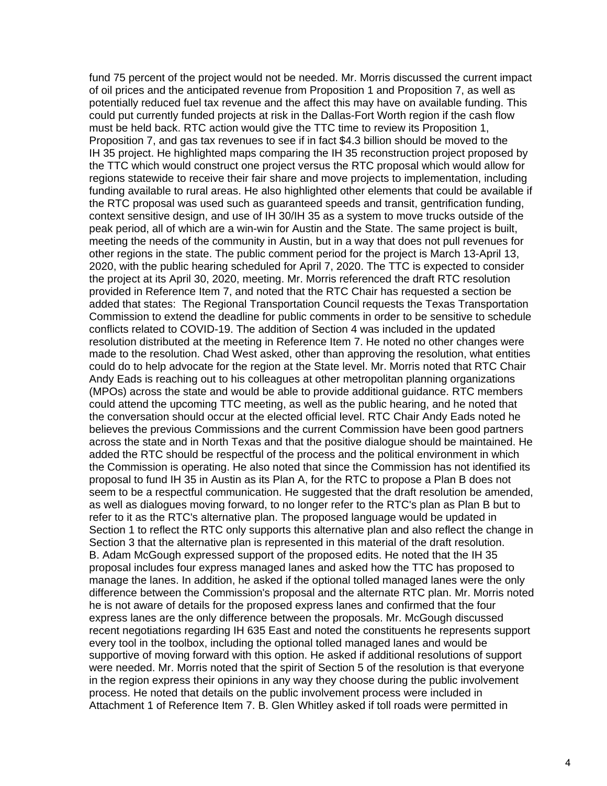fund 75 percent of the project would not be needed. Mr. Morris discussed the current impact of oil prices and the anticipated revenue from Proposition 1 and Proposition 7, as well as potentially reduced fuel tax revenue and the affect this may have on available funding. This could put currently funded projects at risk in the Dallas-Fort Worth region if the cash flow must be held back. RTC action would give the TTC time to review its Proposition 1, Proposition 7, and gas tax revenues to see if in fact \$4.3 billion should be moved to the IH 35 project. He highlighted maps comparing the IH 35 reconstruction project proposed by the TTC which would construct one project versus the RTC proposal which would allow for regions statewide to receive their fair share and move projects to implementation, including funding available to rural areas. He also highlighted other elements that could be available if the RTC proposal was used such as guaranteed speeds and transit, gentrification funding, context sensitive design, and use of IH 30/IH 35 as a system to move trucks outside of the peak period, all of which are a win-win for Austin and the State. The same project is built, meeting the needs of the community in Austin, but in a way that does not pull revenues for other regions in the state. The public comment period for the project is March 13-April 13, 2020, with the public hearing scheduled for April 7, 2020. The TTC is expected to consider the project at its April 30, 2020, meeting. Mr. Morris referenced the draft RTC resolution provided in Reference Item 7, and noted that the RTC Chair has requested a section be added that states: The Regional Transportation Council requests the Texas Transportation Commission to extend the deadline for public comments in order to be sensitive to schedule conflicts related to COVID-19. The addition of Section 4 was included in the updated resolution distributed at the meeting in Reference Item 7. He noted no other changes were made to the resolution. Chad West asked, other than approving the resolution, what entities could do to help advocate for the region at the State level. Mr. Morris noted that RTC Chair Andy Eads is reaching out to his colleagues at other metropolitan planning organizations (MPOs) across the state and would be able to provide additional guidance. RTC members could attend the upcoming TTC meeting, as well as the public hearing, and he noted that the conversation should occur at the elected official level. RTC Chair Andy Eads noted he believes the previous Commissions and the current Commission have been good partners across the state and in North Texas and that the positive dialogue should be maintained. He added the RTC should be respectful of the process and the political environment in which the Commission is operating. He also noted that since the Commission has not identified its proposal to fund IH 35 in Austin as its Plan A, for the RTC to propose a Plan B does not seem to be a respectful communication. He suggested that the draft resolution be amended, as well as dialogues moving forward, to no longer refer to the RTC's plan as Plan B but to refer to it as the RTC's alternative plan. The proposed language would be updated in Section 1 to reflect the RTC only supports this alternative plan and also reflect the change in Section 3 that the alternative plan is represented in this material of the draft resolution. B. Adam McGough expressed support of the proposed edits. He noted that the IH 35 proposal includes four express managed lanes and asked how the TTC has proposed to manage the lanes. In addition, he asked if the optional tolled managed lanes were the only difference between the Commission's proposal and the alternate RTC plan. Mr. Morris noted he is not aware of details for the proposed express lanes and confirmed that the four express lanes are the only difference between the proposals. Mr. McGough discussed recent negotiations regarding IH 635 East and noted the constituents he represents support every tool in the toolbox, including the optional tolled managed lanes and would be supportive of moving forward with this option. He asked if additional resolutions of support were needed. Mr. Morris noted that the spirit of Section 5 of the resolution is that everyone in the region express their opinions in any way they choose during the public involvement process. He noted that details on the public involvement process were included in Attachment 1 of Reference Item 7. B. Glen Whitley asked if toll roads were permitted in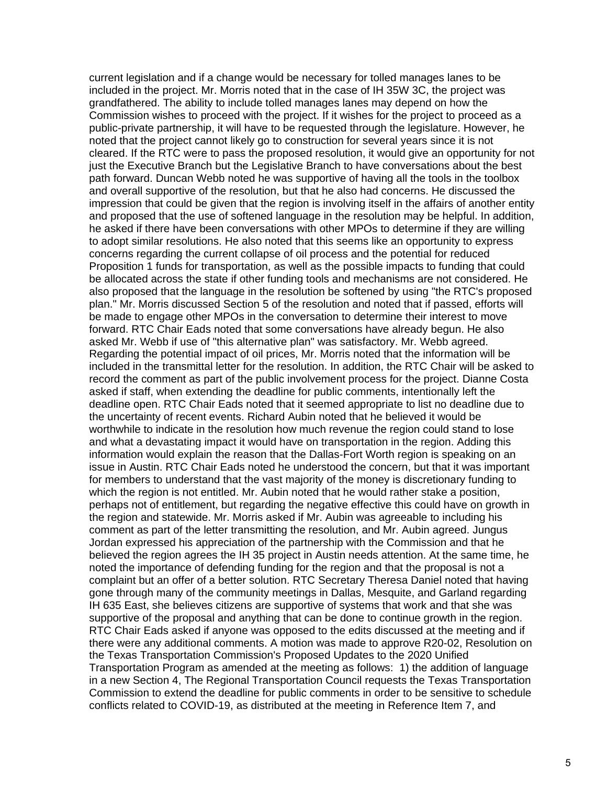current legislation and if a change would be necessary for tolled manages lanes to be included in the project. Mr. Morris noted that in the case of IH 35W 3C, the project was grandfathered. The ability to include tolled manages lanes may depend on how the Commission wishes to proceed with the project. If it wishes for the project to proceed as a public-private partnership, it will have to be requested through the legislature. However, he noted that the project cannot likely go to construction for several years since it is not cleared. If the RTC were to pass the proposed resolution, it would give an opportunity for not just the Executive Branch but the Legislative Branch to have conversations about the best path forward. Duncan Webb noted he was supportive of having all the tools in the toolbox and overall supportive of the resolution, but that he also had concerns. He discussed the impression that could be given that the region is involving itself in the affairs of another entity and proposed that the use of softened language in the resolution may be helpful. In addition, he asked if there have been conversations with other MPOs to determine if they are willing to adopt similar resolutions. He also noted that this seems like an opportunity to express concerns regarding the current collapse of oil process and the potential for reduced Proposition 1 funds for transportation, as well as the possible impacts to funding that could be allocated across the state if other funding tools and mechanisms are not considered. He also proposed that the language in the resolution be softened by using "the RTC's proposed plan." Mr. Morris discussed Section 5 of the resolution and noted that if passed, efforts will be made to engage other MPOs in the conversation to determine their interest to move forward. RTC Chair Eads noted that some conversations have already begun. He also asked Mr. Webb if use of "this alternative plan" was satisfactory. Mr. Webb agreed. Regarding the potential impact of oil prices, Mr. Morris noted that the information will be included in the transmittal letter for the resolution. In addition, the RTC Chair will be asked to record the comment as part of the public involvement process for the project. Dianne Costa asked if staff, when extending the deadline for public comments, intentionally left the deadline open. RTC Chair Eads noted that it seemed appropriate to list no deadline due to the uncertainty of recent events. Richard Aubin noted that he believed it would be worthwhile to indicate in the resolution how much revenue the region could stand to lose and what a devastating impact it would have on transportation in the region. Adding this information would explain the reason that the Dallas-Fort Worth region is speaking on an issue in Austin. RTC Chair Eads noted he understood the concern, but that it was important for members to understand that the vast majority of the money is discretionary funding to which the region is not entitled. Mr. Aubin noted that he would rather stake a position, perhaps not of entitlement, but regarding the negative effective this could have on growth in the region and statewide. Mr. Morris asked if Mr. Aubin was agreeable to including his comment as part of the letter transmitting the resolution, and Mr. Aubin agreed. Jungus Jordan expressed his appreciation of the partnership with the Commission and that he believed the region agrees the IH 35 project in Austin needs attention. At the same time, he noted the importance of defending funding for the region and that the proposal is not a complaint but an offer of a better solution. RTC Secretary Theresa Daniel noted that having gone through many of the community meetings in Dallas, Mesquite, and Garland regarding IH 635 East, she believes citizens are supportive of systems that work and that she was supportive of the proposal and anything that can be done to continue growth in the region. RTC Chair Eads asked if anyone was opposed to the edits discussed at the meeting and if there were any additional comments. A motion was made to approve R20-02, Resolution on the Texas Transportation Commission's Proposed Updates to the 2020 Unified Transportation Program as amended at the meeting as follows: 1) the addition of language in a new Section 4, The Regional Transportation Council requests the Texas Transportation Commission to extend the deadline for public comments in order to be sensitive to schedule conflicts related to COVID-19, as distributed at the meeting in Reference Item 7, and